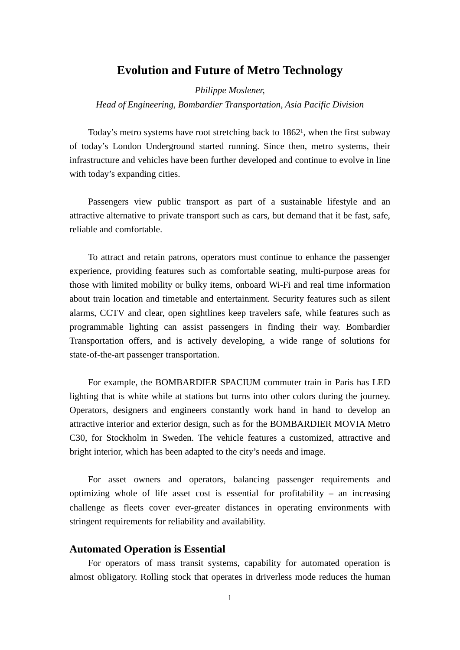# **Evolution and Future of Metro Technology**

*Philippe Moslener,* 

*Head of Engineering, Bombardier Transportation, Asia Pacific Division*

Today's metro systems have root stretching back to  $1862<sup>1</sup>$ , when the first subway of today's London Underground started running. Since then, metro systems, their infrastructure and vehicles have been further developed and continue to evolve in line with today's expanding cities.

Passengers view public transport as part of a sustainable lifestyle and an attractive alternative to private transport such as cars, but demand that it be fast, safe, reliable and comfortable.

To attract and retain patrons, operators must continue to enhance the passenger experience, providing features such as comfortable seating, multi-purpose areas for those with limited mobility or bulky items, onboard Wi-Fi and real time information about train location and timetable and entertainment. Security features such as silent alarms, CCTV and clear, open sightlines keep travelers safe, while features such as programmable lighting can assist passengers in finding their way. Bombardier Transportation offers, and is actively developing, a wide range of solutions for state-of-the-art passenger transportation.

For example, the BOMBARDIER SPACIUM commuter train in Paris has LED lighting that is white while at stations but turns into other colors during the journey. Operators, designers and engineers constantly work hand in hand to develop an attractive interior and exterior design, such as for the BOMBARDIER MOVIA Metro C30, for Stockholm in Sweden. The vehicle features a customized, attractive and bright interior, which has been adapted to the city's needs and image.

For asset owners and operators, balancing passenger requirements and optimizing whole of life asset cost is essential for profitability – an increasing challenge as fleets cover ever-greater distances in operating environments with stringent requirements for reliability and availability.

#### **Automated Operation is Essential**

For operators of mass transit systems, capability for automated operation is almost obligatory. Rolling stock that operates in driverless mode reduces the human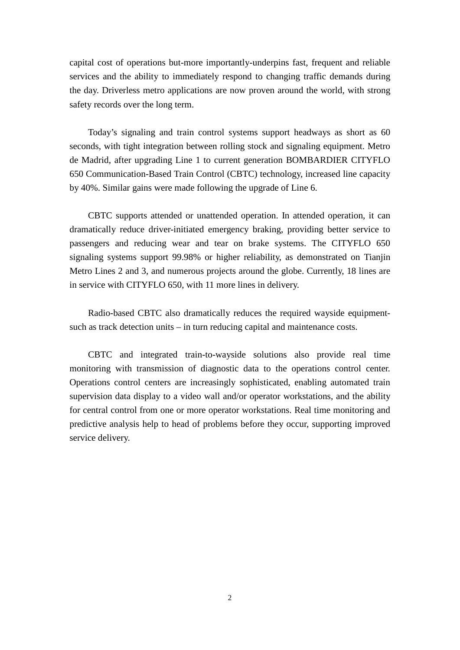capital cost of operations but-more importantly-underpins fast, frequent and reliable services and the ability to immediately respond to changing traffic demands during the day. Driverless metro applications are now proven around the world, with strong safety records over the long term.

Today's signaling and train control systems support headways as short as 60 seconds, with tight integration between rolling stock and signaling equipment. Metro de Madrid, after upgrading Line 1 to current generation BOMBARDIER CITYFLO 650 Communication-Based Train Control (CBTC) technology, increased line capacity by 40%. Similar gains were made following the upgrade of Line 6.

CBTC supports attended or unattended operation. In attended operation, it can dramatically reduce driver-initiated emergency braking, providing better service to passengers and reducing wear and tear on brake systems. The CITYFLO 650 signaling systems support 99.98% or higher reliability, as demonstrated on Tianjin Metro Lines 2 and 3, and numerous projects around the globe. Currently, 18 lines are in service with CITYFLO 650, with 11 more lines in delivery.

Radio-based CBTC also dramatically reduces the required wayside equipmentsuch as track detection units – in turn reducing capital and maintenance costs.

CBTC and integrated train-to-wayside solutions also provide real time monitoring with transmission of diagnostic data to the operations control center. Operations control centers are increasingly sophisticated, enabling automated train supervision data display to a video wall and/or operator workstations, and the ability for central control from one or more operator workstations. Real time monitoring and predictive analysis help to head of problems before they occur, supporting improved service delivery.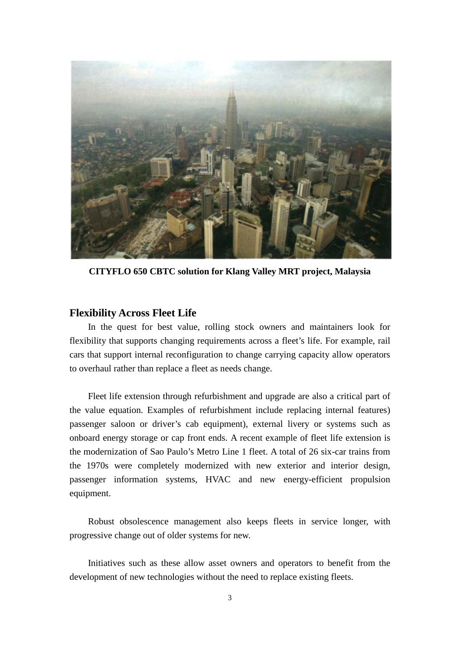

**CITYFLO 650 CBTC solution for Klang Valley MRT project, Malaysia**

### **Flexibility Across Fleet Life**

In the quest for best value, rolling stock owners and maintainers look for flexibility that supports changing requirements across a fleet's life. For example, rail cars that support internal reconfiguration to change carrying capacity allow operators to overhaul rather than replace a fleet as needs change.

Fleet life extension through refurbishment and upgrade are also a critical part of the value equation. Examples of refurbishment include replacing internal features) passenger saloon or driver's cab equipment), external livery or systems such as onboard energy storage or cap front ends. A recent example of fleet life extension is the modernization of Sao Paulo's Metro Line 1 fleet. A total of 26 six-car trains from the 1970s were completely modernized with new exterior and interior design, passenger information systems, HVAC and new energy-efficient propulsion equipment.

Robust obsolescence management also keeps fleets in service longer, with progressive change out of older systems for new.

Initiatives such as these allow asset owners and operators to benefit from the development of new technologies without the need to replace existing fleets.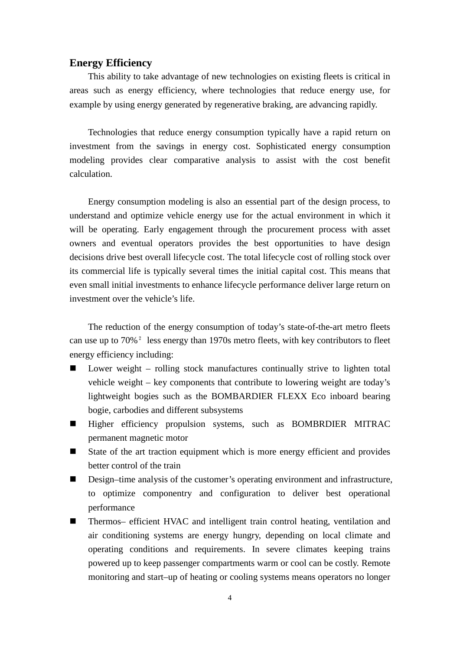## **Energy Efficiency**

This ability to take advantage of new technologies on existing fleets is critical in areas such as energy efficiency, where technologies that reduce energy use, for example by using energy generated by regenerative braking, are advancing rapidly.

Technologies that reduce energy consumption typically have a rapid return on investment from the savings in energy cost. Sophisticated energy consumption modeling provides clear comparative analysis to assist with the cost benefit calculation.

Energy consumption modeling is also an essential part of the design process, to understand and optimize vehicle energy use for the actual environment in which it will be operating. Early engagement through the procurement process with asset owners and eventual operators provides the best opportunities to have design decisions drive best overall lifecycle cost. The total lifecycle cost of rolling stock over its commercial life is typically several times the initial capital cost. This means that even small initial investments to enhance lifecycle performance deliver large return on investment over the vehicle's life.

The reduction of the energy consumption of today's state-of-the-art metro fleets can use up to 70%² less energy than 1970s metro fleets, with key contributors to fleet energy efficiency including:

- Lower weight rolling stock manufactures continually strive to lighten total vehicle weight – key components that contribute to lowering weight are today's lightweight bogies such as the BOMBARDIER FLEXX Eco inboard bearing bogie, carbodies and different subsystems
- **Higher efficiency propulsion systems, such as BOMBRDIER MITRAC** permanent magnetic motor
- State of the art traction equipment which is more energy efficient and provides better control of the train
- Design–time analysis of the customer's operating environment and infrastructure, to optimize componentry and configuration to deliver best operational performance
- Thermos– efficient HVAC and intelligent train control heating, ventilation and air conditioning systems are energy hungry, depending on local climate and operating conditions and requirements. In severe climates keeping trains powered up to keep passenger compartments warm or cool can be costly. Remote monitoring and start–up of heating or cooling systems means operators no longer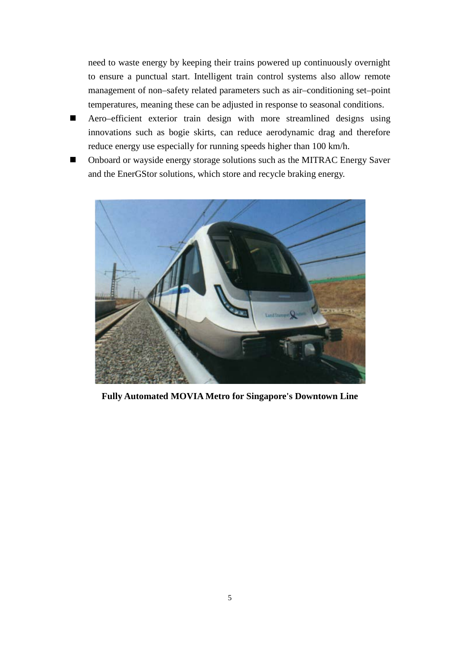need to waste energy by keeping their trains powered up continuously overnight to ensure a punctual start. Intelligent train control systems also allow remote management of non–safety related parameters such as air–conditioning set–point temperatures, meaning these can be adjusted in response to seasonal conditions.

- Aero–efficient exterior train design with more streamlined designs using innovations such as bogie skirts, can reduce aerodynamic drag and therefore reduce energy use especially for running speeds higher than 100 km/h.
- Onboard or wayside energy storage solutions such as the MITRAC Energy Saver and the EnerGStor solutions, which store and recycle braking energy.



**Fully Automated MOVIA Metro for Singapore's Downtown Line**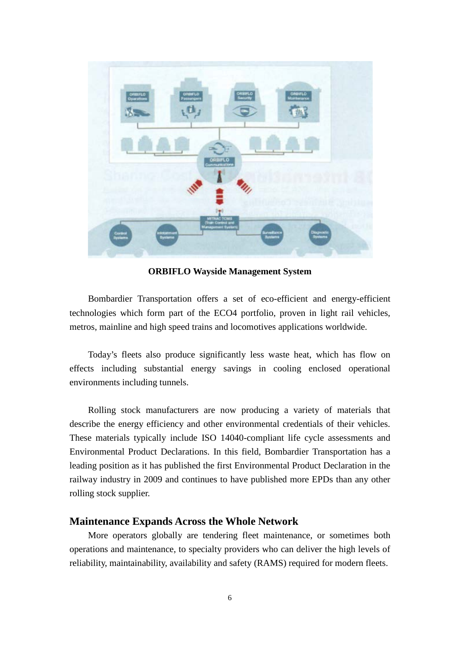

**ORBIFLO Wayside Management System**

Bombardier Transportation offers a set of eco-efficient and energy-efficient technologies which form part of the ECO4 portfolio, proven in light rail vehicles, metros, mainline and high speed trains and locomotives applications worldwide.

Today's fleets also produce significantly less waste heat, which has flow on effects including substantial energy savings in cooling enclosed operational environments including tunnels.

Rolling stock manufacturers are now producing a variety of materials that describe the energy efficiency and other environmental credentials of their vehicles. These materials typically include ISO 14040-compliant life cycle assessments and Environmental Product Declarations. In this field, Bombardier Transportation has a leading position as it has published the first Environmental Product Declaration in the railway industry in 2009 and continues to have published more EPDs than any other rolling stock supplier.

## **Maintenance Expands Across the Whole Network**

More operators globally are tendering fleet maintenance, or sometimes both operations and maintenance, to specialty providers who can deliver the high levels of reliability, maintainability, availability and safety (RAMS) required for modern fleets.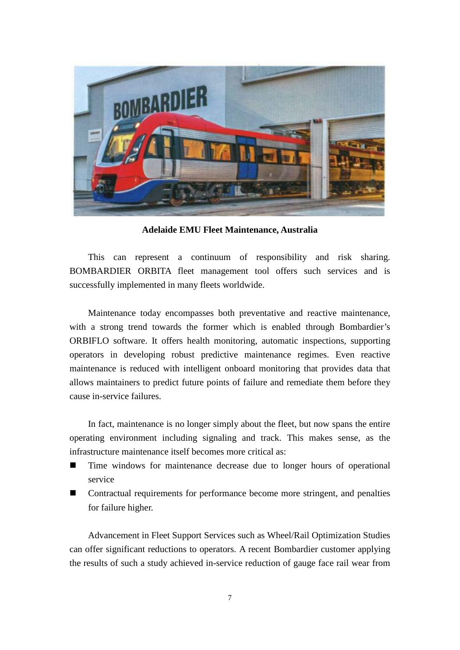

**Adelaide EMU Fleet Maintenance, Australia**

This can represent a continuum of responsibility and risk sharing. BOMBARDIER ORBITA fleet management tool offers such services and is successfully implemented in many fleets worldwide.

Maintenance today encompasses both preventative and reactive maintenance, with a strong trend towards the former which is enabled through Bombardier's ORBIFLO software. It offers health monitoring, automatic inspections, supporting operators in developing robust predictive maintenance regimes. Even reactive maintenance is reduced with intelligent onboard monitoring that provides data that allows maintainers to predict future points of failure and remediate them before they cause in-service failures.

In fact, maintenance is no longer simply about the fleet, but now spans the entire operating environment including signaling and track. This makes sense, as the infrastructure maintenance itself becomes more critical as:

- Time windows for maintenance decrease due to longer hours of operational service
- Contractual requirements for performance become more stringent, and penalties for failure higher.

Advancement in Fleet Support Services such as Wheel/Rail Optimization Studies can offer significant reductions to operators. A recent Bombardier customer applying the results of such a study achieved in-service reduction of gauge face rail wear from